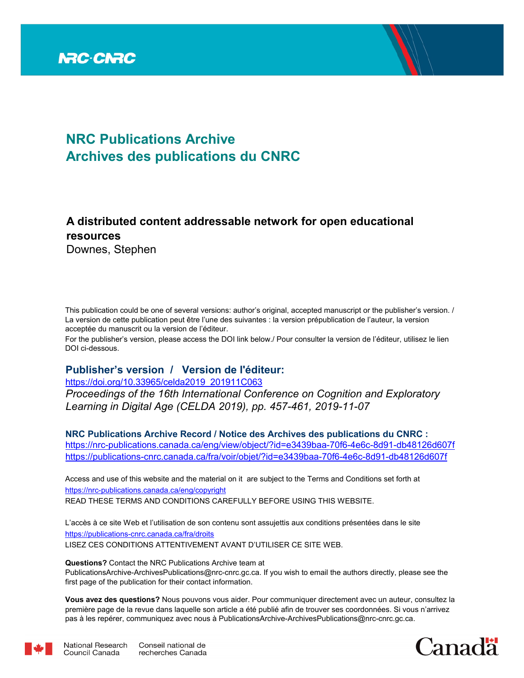

# **NRC Publications Archive Archives des publications du CNRC**

# **A distributed content addressable network for open educational resources**

Downes, Stephen

This publication could be one of several versions: author's original, accepted manuscript or the publisher's version. / La version de cette publication peut être l'une des suivantes : la version prépublication de l'auteur, la version acceptée du manuscrit ou la version de l'éditeur.

For the publisher's version, please access the DOI link below./ Pour consulter la version de l'éditeur, utilisez le lien DOI ci-dessous.

## **Publisher's version / Version de l'éditeur:**

https://doi.org/10.33965/celda2019\_201911C063

*Proceedings of the 16th International Conference on Cognition and Exploratory Learning in Digital Age (CELDA 2019), pp. 457-461, 2019-11-07*

**NRC Publications Archive Record / Notice des Archives des publications du CNRC :** https://nrc-publications.canada.ca/eng/view/object/?id=e3439baa-70f6-4e6c-8d91-db48126d607f https://publications-cnrc.canada.ca/fra/voir/objet/?id=e3439baa-70f6-4e6c-8d91-db48126d607f

READ THESE TERMS AND CONDITIONS CAREFULLY BEFORE USING THIS WEBSITE. https://nrc-publications.canada.ca/eng/copyright Access and use of this website and the material on it are subject to the Terms and Conditions set forth at

https://publications-cnrc.canada.ca/fra/droits L'accès à ce site Web et l'utilisation de son contenu sont assujettis aux conditions présentées dans le site LISEZ CES CONDITIONS ATTENTIVEMENT AVANT D'UTILISER CE SITE WEB.

**Questions?** Contact the NRC Publications Archive team at

PublicationsArchive-ArchivesPublications@nrc-cnrc.gc.ca. If you wish to email the authors directly, please see the first page of the publication for their contact information.

**Vous avez des questions?** Nous pouvons vous aider. Pour communiquer directement avec un auteur, consultez la première page de la revue dans laquelle son article a été publié afin de trouver ses coordonnées. Si vous n'arrivez pas à les repérer, communiquez avec nous à PublicationsArchive-ArchivesPublications@nrc-cnrc.gc.ca.





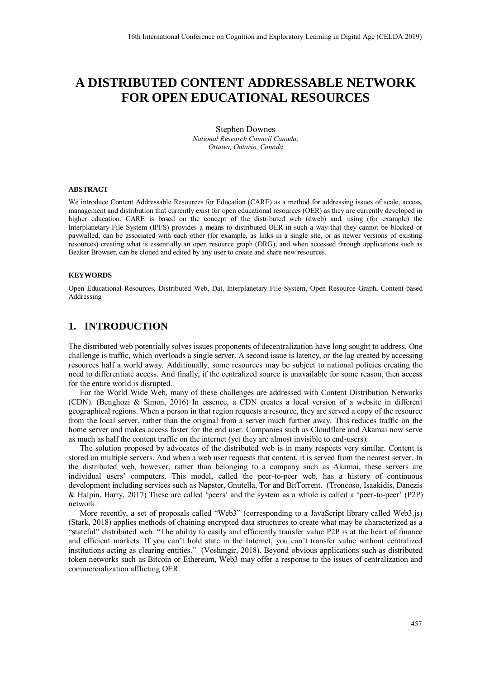# **A DISTRIBUTED CONTENT ADDRESSABLE NETWORK FOR OPEN EDUCATIONAL RESOURCES**

Stephen Downes *National Research Council Canada, Ottawa, Ontario, Canada*

#### **ABSTRACT**

We introduce Content Addressable Resources for Education (CARE) as a method for addressing issues of scale, access, management and distribution that currently exist for open educational resources (OER) as they are currently developed in higher education. CARE is based on the concept of the distributed web (dweb) and, using (for example) the Interplanetary File System (IPFS) provides a means to distributed OER in such a way that they cannot be blocked or paywalled, can be associated with each other (for example, as links in a single site, or as newer versions of existing resources) creating what is essentially an open resource graph (ORG), and when accessed through applications such as Beaker Browser, can be cloned and edited by any user to create and share new resources.

#### **KEYWORDS**

Open Educational Resources, Distributed Web, Dat, Interplanetary File System, Open Resource Graph, Content-based Addressing

### **1. INTRODUCTION**

The distributed web potentially solves issues proponents of decentralization have long sought to address. One challenge is traffic, which overloads a single server. A second issue is latency, or the lag created by accessing resources half a world away. Additionally, some resources may be subject to national policies creating the need to differentiate access. And finally, if the centralized source is unavailable for some reason, then access for the entire world is disrupted.

For the World Wide Web, many of these challenges are addressed with Content Distribution Networks (CDN). (Benghozi & Simon, 2016) In essence, a CDN creates a local version of a website in different geographical regions. When a person in that region requests a resource, they are served a copy of the resource from the local server, rather than the original from a server much further away. This reduces traffic on the home server and makes access faster for the end user. Companies such as Cloudflare and Akamai now serve as much as half the content traffic on the internet (yet they are almost invisible to end-users).

The solution proposed by advocates of the distributed web is in many respects very similar. Content is stored on multiple servers. And when a web user requests that content, it is served from the nearest server. In the distributed web, however, rather than belonging to a company such as Akamai, these servers are individual users' computers. This model, called the peer-to-peer web, has a history of continuous development including services such as Napster, Gnutella, Tor and BitTorrent. (Troncoso, Isaakidis, Danezis & Halpin, Harry, 2017) These are called 'peers' and the system as a whole is called a 'peer-to-peer' (P2P) network.

More recently, a set of proposals called "Web3" (corresponding to a JavaScript library called Web3.js) (Stark, 2018) applies methods of chaining encrypted data structures to create what may be characterized as a "stateful" distributed web. "The ability to easily and efficiently transfer value P2P is at the heart of finance and efficient markets. If you can't hold state in the Internet, you can't transfer value without centralized institutions acting as clearing entities." (Voshmgir, 2018). Beyond obvious applications such as distributed token networks such as Bitcoin or Ethereum, Web3 may offer a response to the issues of centralization and commercialization afflicting OER.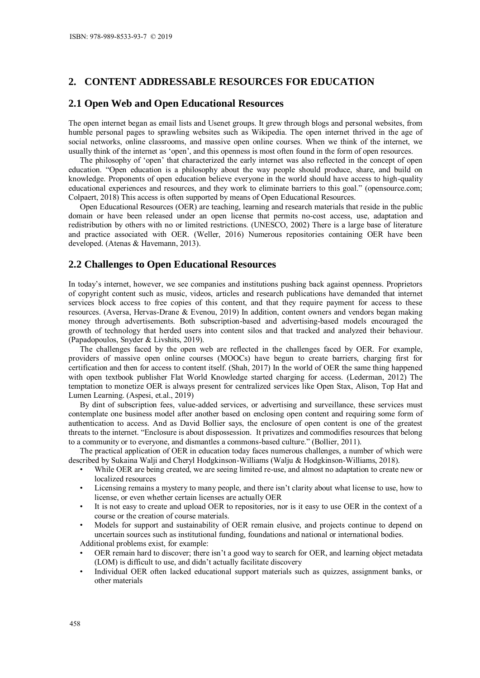# **2. CONTENT ADDRESSABLE RESOURCES FOR EDUCATION**

### **2.1 Open Web and Open Educational Resources**

The open internet began as email lists and Usenet groups. It grew through blogs and personal websites, from humble personal pages to sprawling websites such as Wikipedia. The open internet thrived in the age of social networks, online classrooms, and massive open online courses. When we think of the internet, we usually think of the internet as 'open', and this openness is most often found in the form of open resources.

The philosophy of 'open' that characterized the early internet was also reflected in the concept of open education. "Open education is a philosophy about the way people should produce, share, and build on knowledge. Proponents of open education believe everyone in the world should have access to high-quality educational experiences and resources, and they work to eliminate barriers to this goal." (opensource.com; Colpaert, 2018) This access is often supported by means of Open Educational Resources.

Open Educational Resources (OER) are teaching, learning and research materials that reside in the public domain or have been released under an open license that permits no-cost access, use, adaptation and redistribution by others with no or limited restrictions. (UNESCO, 2002) There is a large base of literature and practice associated with OER. (Weller, 2016) Numerous repositories containing OER have been developed. (Atenas & Havemann, 2013).

### **2.2 Challenges to Open Educational Resources**

In today's internet, however, we see companies and institutions pushing back against openness. Proprietors of copyright content such as music, videos, articles and research publications have demanded that internet services block access to free copies of this content, and that they require payment for access to these resources. (Aversa, Hervas-Drane & Evenou, 2019) In addition, content owners and vendors began making money through advertisements. Both subscription-based and advertising-based models encouraged the growth of technology that herded users into content silos and that tracked and analyzed their behaviour. (Papadopoulos, Snyder & Livshits, 2019).

The challenges faced by the open web are reflected in the challenges faced by OER. For example, providers of massive open online courses (MOOCs) have begun to create barriers, charging first for certification and then for access to content itself. (Shah, 2017) In the world of OER the same thing happened with open textbook publisher Flat World Knowledge started charging for access. (Lederman, 2012) The temptation to monetize OER is always present for centralized services like Open Stax, Alison, Top Hat and Lumen Learning. (Aspesi, et.al., 2019)

By dint of subscription fees, value-added services, or advertising and surveillance, these services must contemplate one business model after another based on enclosing open content and requiring some form of authentication to access. And as David Bollier says, the enclosure of open content is one of the greatest threats to the internet. "Enclosure is about dispossession. It privatizes and commodifies resources that belong to a community or to everyone, and dismantles a commons-based culture." (Bollier, 2011).

The practical application of OER in education today faces numerous challenges, a number of which were described by Sukaina Walji and Cheryl Hodgkinson-Williams (Walju & Hodgkinson-Williams, 2018).

- While OER are being created, we are seeing limited re-use, and almost no adaptation to create new or localized resources
- Licensing remains a mystery to many people, and there isn't clarity about what license to use, how to license, or even whether certain licenses are actually OER
- It is not easy to create and upload OER to repositories, nor is it easy to use OER in the context of a course or the creation of course materials.
- Models for support and sustainability of OER remain elusive, and projects continue to depend on uncertain sources such as institutional funding, foundations and national or international bodies. Additional problems exist, for example:
- OER remain hard to discover; there isn't a good way to search for OER, and learning object metadata (LOM) is difficult to use, and didn't actually facilitate discovery
- Individual OER often lacked educational support materials such as quizzes, assignment banks, or other materials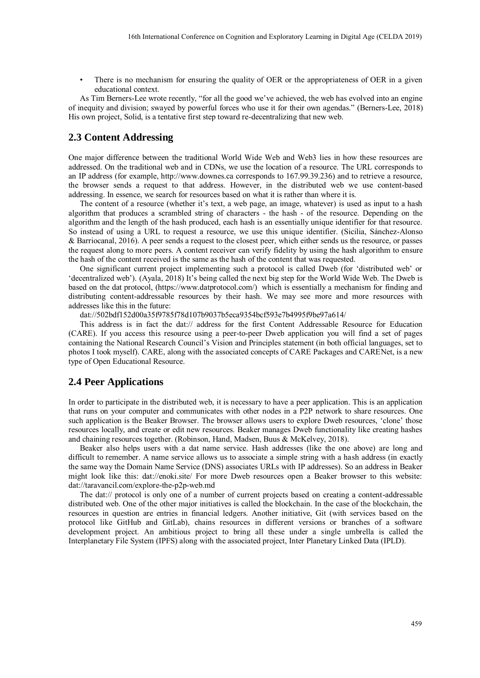There is no mechanism for ensuring the quality of OER or the appropriateness of OER in a given educational context.

As Tim Berners-Lee wrote recently, "for all the good we've achieved, the web has evolved into an engine of inequity and division; swayed by powerful forces who use it for their own agendas." (Berners-Lee, 2018) His own project, Solid, is a tentative first step toward re-decentralizing that new web.

### **2.3 Content Addressing**

One major difference between the traditional World Wide Web and Web3 lies in how these resources are addressed. On the traditional web and in CDNs, we use the location of a resource. The URL corresponds to an IP address (for example, http://www.downes.ca corresponds to 167.99.39.236) and to retrieve a resource, the browser sends a request to that address. However, in the distributed web we use content-based addressing. In essence, we search for resources based on what it is rather than where it is.

The content of a resource (whether it's text, a web page, an image, whatever) is used as input to a hash algorithm that produces a scrambled string of characters - the hash - of the resource. Depending on the algorithm and the length of the hash produced, each hash is an essentially unique identifier for that resource. So instead of using a URL to request a resource, we use this unique identifier. (Sicilia, Sánchez-Alonso & Barriocanal, 2016). A peer sends a request to the closest peer, which either sends us the resource, or passes the request along to more peers. A content receiver can verify fidelity by using the hash algorithm to ensure the hash of the content received is the same as the hash of the content that was requested.

One significant current project implementing such a protocol is called Dweb (for 'distributed web' or 'decentralized web'). (Ayala, 2018) It's being called the next big step for the World Wide Web. The Dweb is based on the dat protocol, (https://www.datprotocol.com/) which is essentially a mechanism for finding and distributing content-addressable resources by their hash. We may see more and more resources with addresses like this in the future:

dat://502bdf152d00a35f9785f78d107b9037b5eca9354bcf593e7b4995f9be97a614/

This address is in fact the dat:// address for the first Content Addressable Resource for Education (CARE). If you access this resource using a peer-to-peer Dweb application you will find a set of pages containing the National Research Council's Vision and Principles statement (in both official languages, set to photos I took myself). CARE, along with the associated concepts of CARE Packages and CARENet, is a new type of Open Educational Resource.

#### **2.4 Peer Applications**

In order to participate in the distributed web, it is necessary to have a peer application. This is an application that runs on your computer and communicates with other nodes in a P2P network to share resources. One such application is the Beaker Browser. The browser allows users to explore Dweb resources, 'clone' those resources locally, and create or edit new resources. Beaker manages Dweb functionality like creating hashes and chaining resources together. (Robinson, Hand, Madsen, Buus & McKelvey, 2018).

Beaker also helps users with a dat name service. Hash addresses (like the one above) are long and difficult to remember. A name service allows us to associate a simple string with a hash address (in exactly the same way the Domain Name Service (DNS) associates URLs with IP addresses). So an address in Beaker might look like this: dat://enoki.site/ For more Dweb resources open a Beaker browser to this website: dat://taravancil.com/explore-the-p2p-web.md

The dat:// protocol is only one of a number of current projects based on creating a content-addressable distributed web. One of the other major initiatives is called the blockchain. In the case of the blockchain, the resources in question are entries in financial ledgers. Another initiative, Git (with services based on the protocol like GitHub and GitLab), chains resources in different versions or branches of a software development project. An ambitious project to bring all these under a single umbrella is called the Interplanetary File System (IPFS) along with the associated project, Inter Planetary Linked Data (IPLD).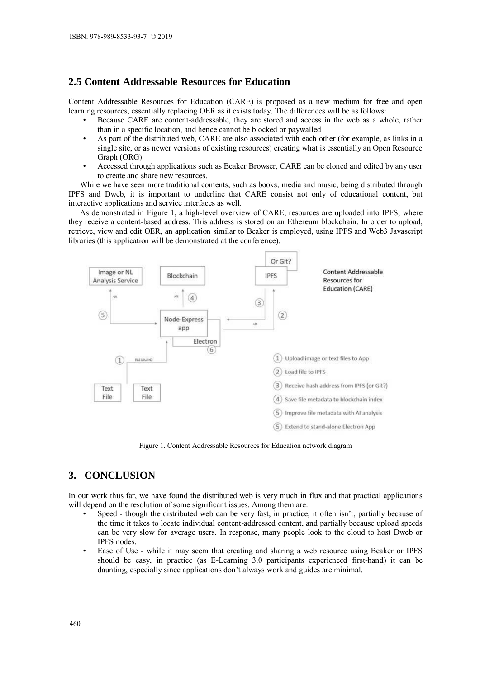## **2.5 Content Addressable Resources for Education**

Content Addressable Resources for Education (CARE) is proposed as a new medium for free and open learning resources, essentially replacing OER as it exists today. The differences will be as follows:

- Because CARE are content-addressable, they are stored and access in the web as a whole, rather than in a specific location, and hence cannot be blocked or paywalled
- As part of the distributed web, CARE are also associated with each other (for example, as links in a single site, or as newer versions of existing resources) creating what is essentially an Open Resource Graph (ORG).
- Accessed through applications such as Beaker Browser, CARE can be cloned and edited by any user to create and share new resources.

While we have seen more traditional contents, such as books, media and music, being distributed through IPFS and Dweb, it is important to underline that CARE consist not only of educational content, but interactive applications and service interfaces as well.

As demonstrated in Figure 1, a high-level overview of CARE, resources are uploaded into IPFS, where they receive a content-based address. This address is stored on an Ethereum blockchain. In order to upload, retrieve, view and edit OER, an application similar to Beaker is employed, using IPFS and Web3 Javascript libraries (this application will be demonstrated at the conference).



Figure 1. Content Addressable Resources for Education network diagram

# **3. CONCLUSION**

In our work thus far, we have found the distributed web is very much in flux and that practical applications will depend on the resolution of some significant issues. Among them are:

- Speed though the distributed web can be very fast, in practice, it often isn't, partially because of the time it takes to locate individual content-addressed content, and partially because upload speeds can be very slow for average users. In response, many people look to the cloud to host Dweb or IPFS nodes.
- Ease of Use while it may seem that creating and sharing a web resource using Beaker or IPFS should be easy, in practice (as E-Learning 3.0 participants experienced first-hand) it can be daunting, especially since applications don't always work and guides are minimal.